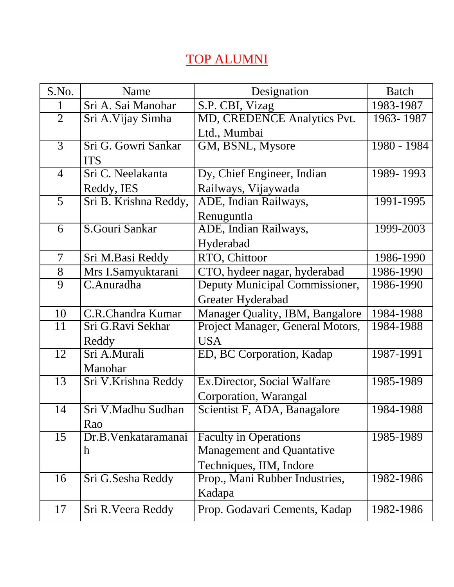## TOP ALUMNI

| S.No.          | Name                  | Designation                      | <b>Batch</b> |
|----------------|-----------------------|----------------------------------|--------------|
| 1              | Sri A. Sai Manohar    | S.P. CBI, Vizag                  | 1983-1987    |
| $\overline{2}$ | Sri A. Vijay Simha    | MD, CREDENCE Analytics Pvt.      | 1963-1987    |
|                |                       | Ltd., Mumbai                     |              |
| 3              | Sri G. Gowri Sankar   | GM, BSNL, Mysore                 | 1980 - 1984  |
|                | <b>ITS</b>            |                                  |              |
| $\overline{4}$ | Sri C. Neelakanta     | Dy, Chief Engineer, Indian       | 1989-1993    |
|                | Reddy, IES            | Railways, Vijaywada              |              |
| 5              | Sri B. Krishna Reddy, | ADE, Indian Railways,            | 1991-1995    |
|                |                       | Renuguntla                       |              |
| 6              | S.Gouri Sankar        | ADE, Indian Railways,            | 1999-2003    |
|                |                       | Hyderabad                        |              |
| $\overline{7}$ | Sri M.Basi Reddy      | RTO, Chittoor                    | 1986-1990    |
| 8              | Mrs I.Samyuktarani    | CTO, hydeer nagar, hyderabad     | 1986-1990    |
| $\overline{9}$ | C.Anuradha            | Deputy Municipal Commissioner,   | 1986-1990    |
|                |                       | Greater Hyderabad                |              |
| 10             | C.R.Chandra Kumar     | Manager Quality, IBM, Bangalore  | 1984-1988    |
| 11             | Sri G.Ravi Sekhar     | Project Manager, General Motors, | 1984-1988    |
|                | Reddy                 | <b>USA</b>                       |              |
| 12             | Sri A.Murali          | ED, BC Corporation, Kadap        | 1987-1991    |
|                | Manohar               |                                  |              |
| 13             | Sri V.Krishna Reddy   | Ex.Director, Social Walfare      | 1985-1989    |
|                |                       | Corporation, Warangal            |              |
| 14             | Sri V.Madhu Sudhan    | Scientist F, ADA, Banagalore     | 1984-1988    |
|                | Rao                   |                                  |              |
| 15             | Dr.B. Venkataramanai  | <b>Faculty in Operations</b>     | 1985-1989    |
|                | $\mathbf h$           | <b>Management and Quantative</b> |              |
|                |                       | Techniques, IIM, Indore          |              |
| 16             | Sri G.Sesha Reddy     | Prop., Mani Rubber Industries,   | 1982-1986    |
|                |                       | Kadapa                           |              |
| 17             | Sri R. Veera Reddy    | Prop. Godavari Cements, Kadap    | 1982-1986    |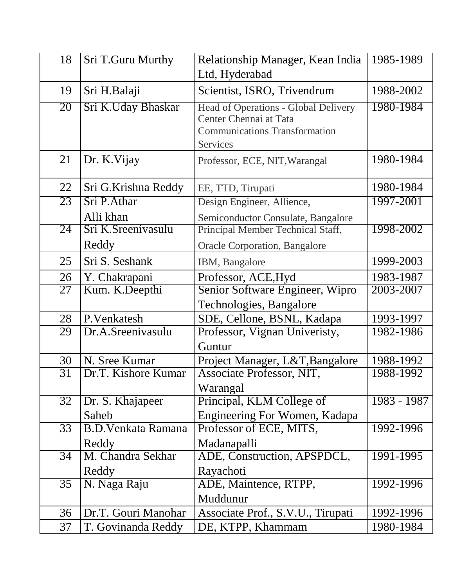| 18 | Sri T.Guru Murthy         | Relationship Manager, Kean India                               | 1985-1989   |
|----|---------------------------|----------------------------------------------------------------|-------------|
|    |                           | Ltd, Hyderabad                                                 |             |
| 19 | Sri H.Balaji              | Scientist, ISRO, Trivendrum                                    | 1988-2002   |
| 20 | Sri K.Uday Bhaskar        | Head of Operations - Global Delivery                           | 1980-1984   |
|    |                           | Center Chennai at Tata<br><b>Communications Transformation</b> |             |
|    |                           | <b>Services</b>                                                |             |
| 21 | Dr. K. Vijay              |                                                                | 1980-1984   |
|    |                           | Professor, ECE, NIT, Warangal                                  |             |
| 22 | Sri G.Krishna Reddy       | EE, TTD, Tirupati                                              | 1980-1984   |
| 23 | Sri P.Athar               | Design Engineer, Allience,                                     | 1997-2001   |
|    | Alli khan                 | Semiconductor Consulate, Bangalore                             |             |
| 24 | Sri K.Sreenivasulu        | Principal Member Technical Staff,                              | 1998-2002   |
|    | Reddy                     | <b>Oracle Corporation, Bangalore</b>                           |             |
| 25 | Sri S. Seshank            | IBM, Bangalore                                                 | 1999-2003   |
| 26 | Y. Chakrapani             | Professor, ACE, Hyd                                            | 1983-1987   |
| 27 | Kum. K.Deepthi            | Senior Software Engineer, Wipro                                | 2003-2007   |
|    |                           | Technologies, Bangalore                                        |             |
| 28 | P.Venkatesh               | SDE, Cellone, BSNL, Kadapa                                     | 1993-1997   |
| 29 | Dr.A.Sreenivasulu         | Professor, Vignan Univeristy,                                  | 1982-1986   |
|    |                           | Guntur                                                         |             |
| 30 | N. Sree Kumar             | Project Manager, L&T, Bangalore                                | 1988-1992   |
| 31 | Dr.T. Kishore Kumar       | Associate Professor, NIT,                                      | 1988-1992   |
|    |                           | Warangal                                                       |             |
| 32 | Dr. S. Khajapeer          | Principal, KLM College of                                      | 1983 - 1987 |
|    | Saheb                     | Engineering For Women, Kadapa                                  |             |
| 33 | <b>B.D.Venkata Ramana</b> | Professor of ECE, MITS,                                        | 1992-1996   |
|    | Reddy                     | Madanapalli                                                    |             |
| 34 | M. Chandra Sekhar         | ADE, Construction, APSPDCL,                                    | 1991-1995   |
|    | Reddy                     | Rayachoti                                                      |             |
| 35 | N. Naga Raju              | ADE, Maintence, RTPP,                                          | 1992-1996   |
|    |                           | Muddunur                                                       |             |
| 36 | Dr.T. Gouri Manohar       | Associate Prof., S.V.U., Tirupati                              | 1992-1996   |
| 37 | T. Govinanda Reddy        | DE, KTPP, Khammam                                              | 1980-1984   |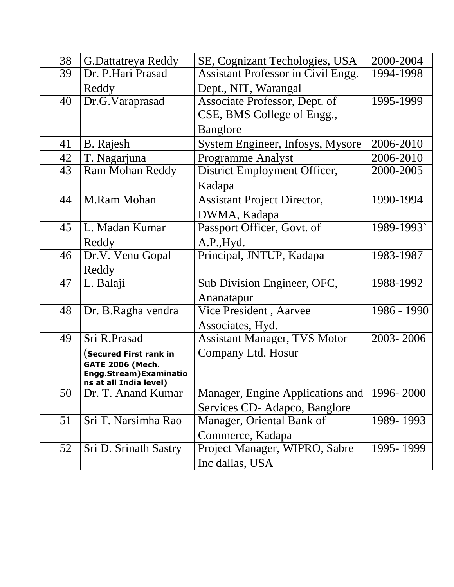| 38 | <b>G.Dattatreya Reddy</b>                               | SE, Cognizant Techologies, USA            | 2000-2004                |
|----|---------------------------------------------------------|-------------------------------------------|--------------------------|
| 39 | Dr. P.Hari Prasad                                       | <b>Assistant Professor in Civil Engg.</b> | 1994-1998                |
|    | Reddy                                                   | Dept., NIT, Warangal                      |                          |
| 40 | Dr.G.Varaprasad                                         | Associate Professor, Dept. of             | 1995-1999                |
|    |                                                         | CSE, BMS College of Engg.,                |                          |
|    |                                                         | <b>Banglore</b>                           |                          |
| 41 | <b>B.</b> Rajesh                                        | System Engineer, Infosys, Mysore          | 2006-2010                |
| 42 | T. Nagarjuna                                            | <b>Programme Analyst</b>                  | 2006-2010                |
| 43 | <b>Ram Mohan Reddy</b>                                  | District Employment Officer,              | 2000-2005                |
|    |                                                         | Kadapa                                    |                          |
| 44 | M.Ram Mohan                                             | <b>Assistant Project Director,</b>        | 1990-1994                |
|    |                                                         | DWMA, Kadapa                              |                          |
| 45 | L. Madan Kumar                                          | Passport Officer, Govt. of                | 1989-1993`               |
|    | Reddy                                                   | A.P., Hyd.                                |                          |
| 46 | Dr.V. Venu Gopal                                        | Principal, JNTUP, Kadapa                  | 1983-1987                |
|    | Reddy                                                   |                                           |                          |
| 47 | L. Balaji                                               | Sub Division Engineer, OFC,               | 1988-1992                |
|    |                                                         | Ananatapur                                |                          |
| 48 | Dr. B.Ragha vendra                                      | Vice President, Aarvee                    | 1986 - 1990              |
|    |                                                         | Associates, Hyd.                          |                          |
| 49 | Sri R.Prasad                                            | <b>Assistant Manager, TVS Motor</b>       | 2003-2006                |
|    | $($ Secured First rank in                               | Company Ltd. Hosur                        |                          |
|    | <b>GATE 2006 (Mech.</b>                                 |                                           |                          |
|    | <b>Engg.Stream)Examinatio</b><br>ns at all India level) |                                           |                          |
| 50 | Dr. T. Anand Kumar                                      | Manager, Engine Applications and          | $\overline{1996}$ - 2000 |
|    |                                                         | Services CD-Adapco, Banglore              |                          |
| 51 | Sri T. Narsimha Rao                                     | Manager, Oriental Bank of                 | 1989-1993                |
|    |                                                         | Commerce, Kadapa                          |                          |
| 52 | Sri D. Srinath Sastry                                   | Project Manager, WIPRO, Sabre             | 1995-1999                |
|    |                                                         | Inc dallas, USA                           |                          |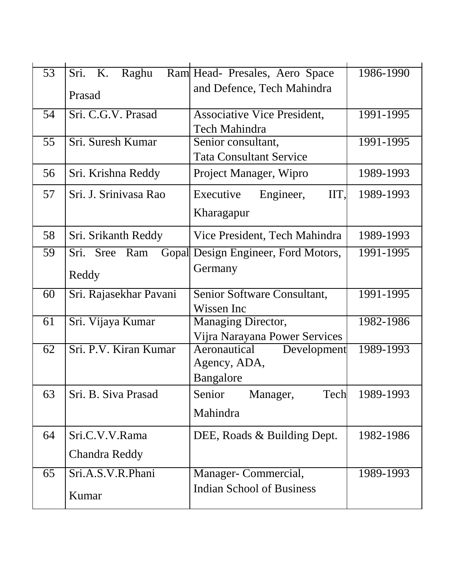| $\overline{53}$ | Sri. K.<br>Raghu       | Ram Head- Presales, Aero Space                             | 1986-1990 |
|-----------------|------------------------|------------------------------------------------------------|-----------|
|                 | Prasad                 | and Defence, Tech Mahindra                                 |           |
| 54              | Sri. C.G.V. Prasad     | <b>Associative Vice President,</b><br>Tech Mahindra        | 1991-1995 |
| 55              | Sri. Suresh Kumar      | Senior consultant,<br><b>Tata Consultant Service</b>       | 1991-1995 |
| 56              | Sri. Krishna Reddy     | Project Manager, Wipro                                     | 1989-1993 |
| 57              | Sri. J. Srinivasa Rao  | IIT,<br>Executive<br>Engineer,                             | 1989-1993 |
|                 |                        | Kharagapur                                                 |           |
| 58              | Sri. Srikanth Reddy    | Vice President, Tech Mahindra                              | 1989-1993 |
| 59              | Sri. Sree Ram<br>Gopal | Design Engineer, Ford Motors,                              | 1991-1995 |
|                 | Reddy                  | Germany                                                    |           |
| 60              | Sri. Rajasekhar Pavani | Senior Software Consultant,                                | 1991-1995 |
|                 |                        | Wissen Inc                                                 |           |
| 61              | Sri. Vijaya Kumar      | <b>Managing Director,</b><br>Vijra Narayana Power Services | 1982-1986 |
| 62              | Sri. P.V. Kiran Kumar  | Aeronautical<br>Development                                | 1989-1993 |
|                 |                        | Agency, ADA,                                               |           |
|                 |                        | Bangalore                                                  |           |
| 63              | Sri. B. Siva Prasad    | Senior Manager,<br>Tech                                    | 1989-1993 |
|                 |                        | Mahindra                                                   |           |
| 64              | Sri.C.V.V.Rama         | DEE, Roads & Building Dept.                                | 1982-1986 |
|                 | <b>Chandra Reddy</b>   |                                                            |           |
| 65              | Sri.A.S.V.R.Phani      | Manager- Commercial,                                       | 1989-1993 |
|                 | Kumar                  | <b>Indian School of Business</b>                           |           |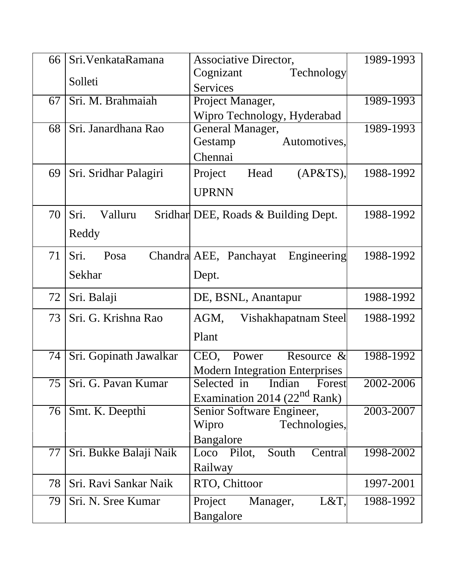| 66 | Sri. Venkata Ramana      | <b>Associative Director,</b>             | 1989-1993 |
|----|--------------------------|------------------------------------------|-----------|
|    |                          | Cognizant<br>Technology                  |           |
|    | Solleti                  | <b>Services</b>                          |           |
| 67 | Sri. M. Brahmaiah        | Project Manager,                         | 1989-1993 |
|    |                          | Wipro Technology, Hyderabad              |           |
| 68 | Sri. Janardhana Rao      | General Manager,                         | 1989-1993 |
|    |                          | Automotives,<br>Gestamp                  |           |
|    |                          | Chennai                                  |           |
| 69 | Sri. Sridhar Palagiri    | Project<br>(AP&TS),<br>Head              | 1988-1992 |
|    |                          | <b>UPRNN</b>                             |           |
| 70 | Sri.<br>Valluru          | Sridhar DEE, Roads & Building Dept.      | 1988-1992 |
|    | Reddy                    |                                          |           |
|    |                          |                                          |           |
| 71 | Sri.<br>Posa             | Chandral AEE, Panchayat<br>Engineering   | 1988-1992 |
|    | Sekhar                   | Dept.                                    |           |
|    |                          |                                          |           |
| 72 | Sri. Balaji              | DE, BSNL, Anantapur                      | 1988-1992 |
| 73 | Sri. G. Krishna Rao      | AGM,<br>Vishakhapatnam Steel             | 1988-1992 |
|    |                          | Plant                                    |           |
| 74 | Sri. Gopinath Jawalkar   | CEO,<br>Power<br>Resource $\&$           | 1988-1992 |
|    |                          | <b>Modern Integration Enterprises</b>    |           |
|    | 75   Sri. G. Pavan Kumar | Selected in Indian<br>Forest             | 2002-2006 |
|    |                          | Examination 2014 (22 <sup>nd</sup> Rank) |           |
| 76 | Smt. K. Deepthi          | Senior Software Engineer,                | 2003-2007 |
|    |                          | Technologies,<br>Wipro                   |           |
|    |                          | Bangalore                                |           |
| 77 | Sri. Bukke Balaji Naik   | Pilot,<br>South<br>Central<br>Loco       | 1998-2002 |
|    |                          | Railway                                  |           |
| 78 | Sri. Ravi Sankar Naik    | RTO, Chittoor                            | 1997-2001 |
| 79 | Sri. N. Sree Kumar       | Project<br>L&T,<br>Manager,              | 1988-1992 |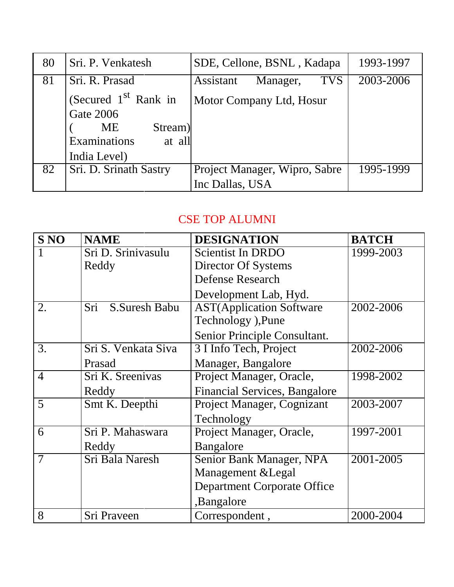| 80 | Sri. P. Venkatesh                                                                               | SDE, Cellone, BSNL, Kadapa          | 1993-1997 |
|----|-------------------------------------------------------------------------------------------------|-------------------------------------|-----------|
| 81 | Sri. R. Prasad                                                                                  | <b>TVS</b><br>Assistant<br>Manager, | 2003-2006 |
|    | (Secured 1 <sup>st</sup> Rank in<br><b>Gate 2006</b><br>ME<br>Stream)<br>Examinations<br>at all | Motor Company Ltd, Hosur            |           |
|    | India Level)                                                                                    |                                     |           |
| 82 | Sri. D. Srinath Sastry                                                                          | Project Manager, Wipro, Sabre       | 1995-1999 |
|    |                                                                                                 | Inc Dallas, USA                     |           |

## CSE TOP ALUMNI

| <b>S NO</b>    | <b>NAME</b>          | <b>DESIGNATION</b>                   | <b>BATCH</b> |
|----------------|----------------------|--------------------------------------|--------------|
|                | Sri D. Srinivasulu   | <b>Scientist In DRDO</b>             | 1999-2003    |
|                | Reddy                | Director Of Systems                  |              |
|                |                      | <b>Defense Research</b>              |              |
|                |                      | Development Lab, Hyd.                |              |
| 2.             | Sri<br>S.Suresh Babu | <b>AST</b> (Application Software     | 2002-2006    |
|                |                      | Technology), Pune                    |              |
|                |                      | Senior Principle Consultant.         |              |
| 3.             | Sri S. Venkata Siva  | 3 I Info Tech, Project               | 2002-2006    |
|                | Prasad               | Manager, Bangalore                   |              |
| $\overline{4}$ | Sri K. Sreenivas     | Project Manager, Oracle,             | 1998-2002    |
|                | Reddy                | <b>Financial Services, Bangalore</b> |              |
| 5              | Smt K. Deepthi       | Project Manager, Cognizant           | 2003-2007    |
|                |                      | Technology                           |              |
| 6              | Sri P. Mahaswara     | Project Manager, Oracle,             | 1997-2001    |
|                | Reddy                | Bangalore                            |              |
| $\overline{7}$ | Sri Bala Naresh      | Senior Bank Manager, NPA             | 2001-2005    |
|                |                      | Management & Legal                   |              |
|                |                      | <b>Department Corporate Office</b>   |              |
|                |                      | ,Bangalore                           |              |
| 8              | Sri Praveen          | Correspondent,                       | 2000-2004    |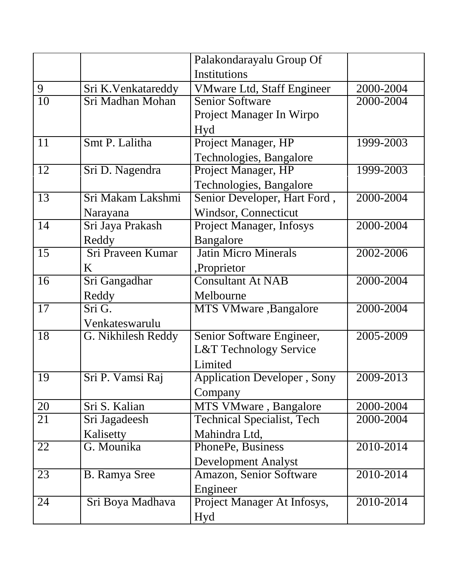|    |                      | Palakondarayalu Group Of            |           |
|----|----------------------|-------------------------------------|-----------|
|    |                      | Institutions                        |           |
| 9  | Sri K.Venkatareddy   | <b>VMware Ltd, Staff Engineer</b>   | 2000-2004 |
| 10 | Sri Madhan Mohan     | <b>Senior Software</b>              | 2000-2004 |
|    |                      | Project Manager In Wirpo            |           |
|    |                      | Hyd                                 |           |
| 11 | Smt P. Lalitha       | Project Manager, HP                 | 1999-2003 |
|    |                      | Technologies, Bangalore             |           |
| 12 | Sri D. Nagendra      | Project Manager, HP                 | 1999-2003 |
|    |                      | Technologies, Bangalore             |           |
| 13 | Sri Makam Lakshmi    | Senior Developer, Hart Ford,        | 2000-2004 |
|    | Narayana             | <b>Windsor, Connecticut</b>         |           |
| 14 | Sri Jaya Prakash     | <b>Project Manager, Infosys</b>     | 2000-2004 |
|    | Reddy                | Bangalore                           |           |
| 15 | Sri Praveen Kumar    | <b>Jatin Micro Minerals</b>         | 2002-2006 |
|    | K                    | ,Proprietor                         |           |
| 16 | Sri Gangadhar        | <b>Consultant At NAB</b>            | 2000-2004 |
|    | Reddy                | Melbourne                           |           |
| 17 | Sri G.               | MTS VMware, Bangalore               | 2000-2004 |
|    | Venkateswarulu       |                                     |           |
| 18 | G. Nikhilesh Reddy   | Senior Software Engineer,           | 2005-2009 |
|    |                      | <b>L&amp;T Technology Service</b>   |           |
|    |                      | Limited                             |           |
| 19 | Sri P. Vamsi Raj     | <b>Application Developer</b> , Sony | 2009-2013 |
|    |                      | Company                             |           |
| 20 | Sri S. Kalian        | MTS VMware, Bangalore               | 2000-2004 |
| 21 | Sri Jagadeesh        | <b>Technical Specialist, Tech</b>   | 2000-2004 |
|    | Kalisetty            | Mahindra Ltd,                       |           |
| 22 | G. Mounika           | PhonePe, Business                   | 2010-2014 |
|    |                      | <b>Development Analyst</b>          |           |
| 23 | <b>B.</b> Ramya Sree | Amazon, Senior Software             | 2010-2014 |
|    |                      | Engineer                            |           |
| 24 | Sri Boya Madhava     | Project Manager At Infosys,         | 2010-2014 |
|    |                      | Hyd                                 |           |